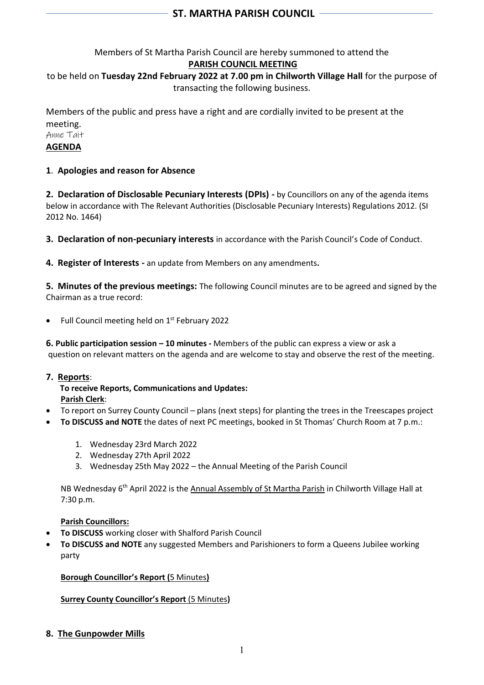# Members of St Martha Parish Council are hereby summoned to attend the **PARISH COUNCIL MEETING**

# to be held on **Tuesday 22nd February 2022 at 7.00 pm in Chilworth Village Hall** for the purpose of transacting the following business.

Members of the public and press have a right and are cordially invited to be present at the meeting.

Anne Tait **AGENDA**

# **1**. **Apologies and reason for Absence**

**2. Declaration of Disclosable Pecuniary Interests (DPIs) -** by Councillors on any of the agenda items below in accordance with The Relevant Authorities (Disclosable Pecuniary Interests) Regulations 2012. (SI 2012 No. 1464)

**3. Declaration of non-pecuniary interests** in accordance with the Parish Council's Code of Conduct.

**4. Register of Interests -** an update from Members on any amendments**.**

**5. Minutes of the previous meetings:** The following Council minutes are to be agreed and signed by the Chairman as a true record:

• Full Council meeting held on 1<sup>st</sup> February 2022

**6. Public participation session – 10 minutes -** Members of the public can express a view or ask a question on relevant matters on the agenda and are welcome to stay and observe the rest of the meeting.

## **7. Reports**:

 **To receive Reports, Communications and Updates: Parish Clerk**:

- To report on Surrey County Council plans (next steps) for planting the trees in the Treescapes project
- **To DISCUSS and NOTE** the dates of next PC meetings, booked in St Thomas' Church Room at 7 p.m.:
	- 1. Wednesday 23rd March 2022
	- 2. Wednesday 27th April 2022
	- 3. Wednesday 25th May 2022 the Annual Meeting of the Parish Council

NB Wednesday 6<sup>th</sup> April 2022 is the Annual Assembly of St Martha Parish in Chilworth Village Hall at 7:30 p.m.

## **Parish Councillors:**

- **To DISCUSS** working closer with Shalford Parish Council
- **To DISCUSS and NOTE** any suggested Members and Parishioners to form a Queens Jubilee working party

**Borough Councillor's Report (**5 Minutes**)** 

## **Surrey County Councillor's Report** (5 Minutes**)**

**8. The Gunpowder Mills**